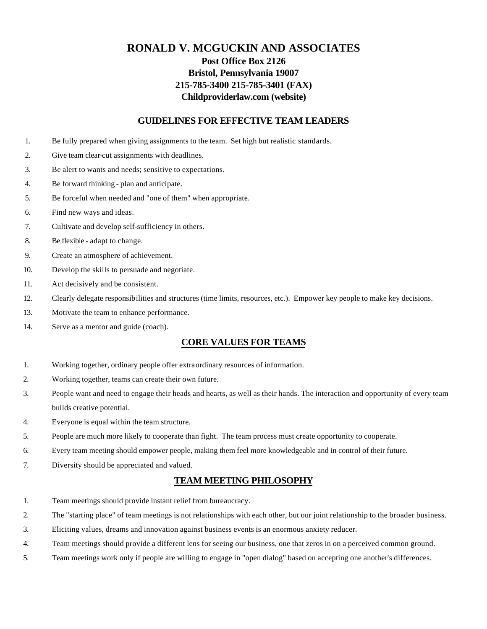# **RONALD V. MCGUCKIN AND ASSOCIATES Post Office Box 2126 Bristol, Pennsylvania 19007 215-785-3400 215-785-3401 (FAX) Childproviderlaw.com (website)**

#### **GUIDELINES FOR EFFECTIVE TEAM LEADERS**

- 1. Be fully prepared when giving assignments to the team. Set high but realistic standards.
- 2. Give team clear-cut assignments with deadlines.
- 3. Be alert to wants and needs; sensitive to expectations.
- 4. Be forward thinking plan and anticipate.
- 5. Be forceful when needed and "one of them" when appropriate.
- 6. Find new ways and ideas.
- 7. Cultivate and develop self-sufficiency in others.
- 8. Be flexible adapt to change.
- 9. Create an atmosphere of achievement.
- 10. Develop the skills to persuade and negotiate.
- 11. Act decisively and be consistent.
- 12. Clearly delegate responsibilities and structures (time limits, resources, etc.). Empower key people to make key decisions.
- 13. Motivate the team to enhance performance.
- 14. Serve as a mentor and guide (coach).

#### **CORE VALUES FOR TEAMS**

- 1. Working together, ordinary people offer extraordinary resources of information.
- 2. Working together, teams can create their own future.
- 3. People want and need to engage their heads and hearts, as well as their hands. The interaction and opportunity of every team builds creative potential.
- 4. Everyone is equal within the team structure.
- 5. People are much more likely to cooperate than fight. The team process must create opportunity to cooperate.
- 6. Every team meeting should empower people, making them feel more knowledgeable and in control of their future.
- 7. Diversity should be appreciated and valued.

### **TEAM MEETING PHILOSOPHY**

- 1. Team meetings should provide instant relief from bureaucracy.
- 2. The "starting place" of team meetings is not relationships with each other, but our joint relationship to the broader business.
- 3. Eliciting values, dreams and innovation against business events is an enormous anxiety reducer.
- 4. Team meetings should provide a different lens for seeing our business, one that zeros in on a perceived common ground.
- 5. Team meetings work only if people are willing to engage in "open dialog" based on accepting one another's differences.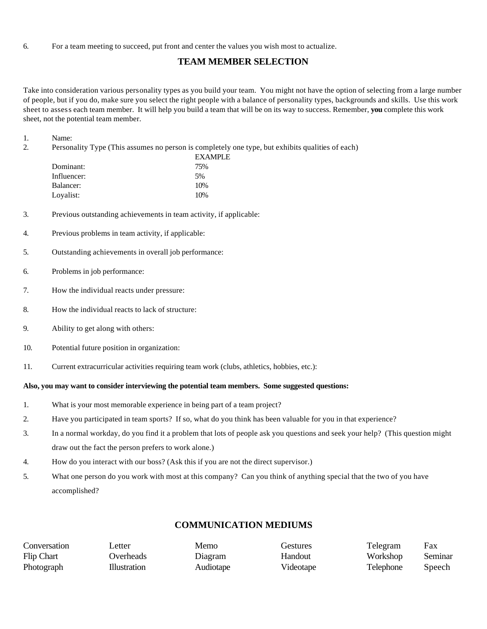6. For a team meeting to succeed, put front and center the values you wish most to actualize.

## **TEAM MEMBER SELECTION**

Take into consideration various personality types as you build your team. You might not have the option of selecting from a large number of people, but if you do, make sure you select the right people with a balance of personality types, backgrounds and skills. Use this work sheet to assess each team member. It will help you build a team that will be on its way to success. Remember, **you** complete this work sheet, not the potential team member.

1. Name:

2. Personality Type (This assumes no person is completely one type, but exhibits qualities of each)

|             | <b>EXAMPLE</b> |  |
|-------------|----------------|--|
| Dominant:   | 75%            |  |
| Influencer: | 5%             |  |
| Balancer:   | 10%            |  |
| Loyalist:   | 10%            |  |

- 3. Previous outstanding achievements in team activity, if applicable:
- 4. Previous problems in team activity, if applicable:
- 5. Outstanding achievements in overall job performance:
- 6. Problems in job performance:
- 7. How the individual reacts under pressure:
- 8. How the individual reacts to lack of structure:
- 9. Ability to get along with others:
- 10. Potential future position in organization:
- 11. Current extracurricular activities requiring team work (clubs, athletics, hobbies, etc.):

### **Also, you may want to consider interviewing the potential team members. Some suggested questions:**

- 1. What is your most memorable experience in being part of a team project?
- 2. Have you participated in team sports? If so, what do you think has been valuable for you in that experience?
- 3. In a normal workday, do you find it a problem that lots of people ask you questions and seek your help? (This question might draw out the fact the person prefers to work alone.)
- 4. How do you interact with our boss? (Ask this if you are not the direct supervisor.)
- 5. What one person do you work with most at this company? Can you think of anything special that the two of you have accomplished?

# **COMMUNICATION MEDIUMS**

| Conversation      | etter        | Memo      | Gestures  | Telegram         | Fax     |
|-------------------|--------------|-----------|-----------|------------------|---------|
| <b>Flip Chart</b> | Overheads    | Diagram   | Handout   | Workshop         | Seminar |
| Photograph        | Illustration | Audiotape | Videotape | <b>Telephone</b> | Speech  |